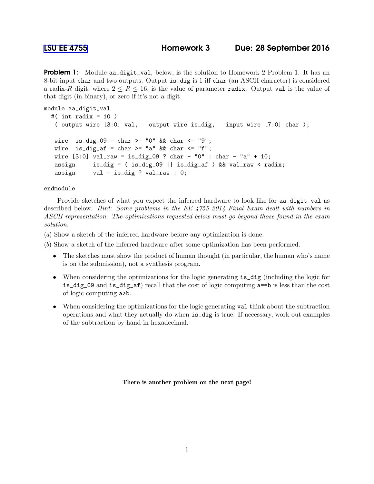**Problem 1:** Module aa\_digit\_val, below, is the solution to Homework 2 Problem 1. It has an 8-bit input char and two outputs. Output is\_dig is 1 iff char (an ASCII character) is considered a radix-R digit, where  $2 \leq R \leq 16$ , is the value of parameter radix. Output val is the value of that digit (in binary), or zero if it's not a digit.

```
module aa_digit_val
#( int radix = 10 )
 ( output wire [3:0] val, output wire is_dig, input wire [7:0] char );
wire is_dig_09 = char >= "0" && char <= "9";
wire is_dig_af = char >= "a" && char \le "f";
wire [3:0] val_raw = is_dig_09 ? char - "0" : char - "a" + 10;
assign is_dig = ( is_dig_09 || is_dig_af ) && val_raw < radix;
assign val = is\_dig ? val\_raw : 0;
```
endmodule

Provide sketches of what you expect the inferred hardware to look like for aa\_digit\_val as described below. *Hint: Some problems in the EE 4755 2014 Final Exam dealt with numbers in ASCII representation. The optimizations requested below must go beyond those found in the exam solution.*

(*a*) Show a sketch of the inferred hardware before any optimization is done.

(*b*) Show a sketch of the inferred hardware after some optimization has been performed.

- The sketches must show the product of human thought (in particular, the human who's name is on the submission), not a synthesis program.
- When considering the optimizations for the logic generating is  $\text{dig}$  (including the logic for is\_dig\_09 and is\_dig\_af) recall that the cost of logic computing a==b is less than the cost of logic computing a>b.
- When considering the optimizations for the logic generating val think about the subtraction operations and what they actually do when is\_dig is true. If necessary, work out examples of the subtraction by hand in hexadecimal.

There is another problem on the next page!